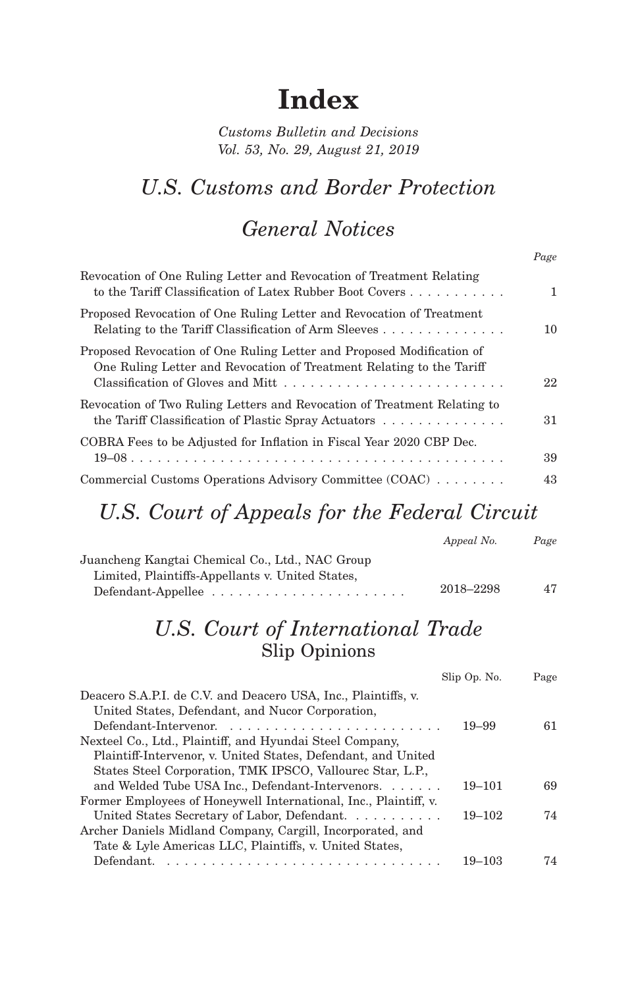# **Index**

*Customs Bulletin and Decisions Vol. 53, No. 29, August 21, 2019*

# *U.S. Customs and Border Protection*

### *General Notices*

*Page*

|                                                                                                                                                            | $ w_0$ $-$ |
|------------------------------------------------------------------------------------------------------------------------------------------------------------|------------|
| Revocation of One Ruling Letter and Revocation of Treatment Relating<br>to the Tariff Classification of Latex Rubber Boot Covers                           | 1          |
| Proposed Revocation of One Ruling Letter and Revocation of Treatment<br>Relating to the Tariff Classification of Arm Sleeves                               | 10         |
| Proposed Revocation of One Ruling Letter and Proposed Modification of<br>One Ruling Letter and Revocation of Treatment Relating to the Tariff              | 22         |
| Revocation of Two Ruling Letters and Revocation of Treatment Relating to<br>the Tariff Classification of Plastic Spray Actuators $\dots \dots \dots \dots$ | 31         |
| COBRA Fees to be Adjusted for Inflation in Fiscal Year 2020 CBP Dec.                                                                                       | 39         |
| Commercial Customs Operations Advisory Committee (COAC)                                                                                                    | 43         |

# *U.S. Court of Appeals for the Federal Circuit*

|                                                  | Appeal No. | Page |
|--------------------------------------------------|------------|------|
| Juancheng Kangtai Chemical Co., Ltd., NAC Group  |            |      |
| Limited, Plaintiffs-Appellants v. United States, |            |      |
|                                                  | 2018–2298  | 47   |

#### *U.S. Court of International Trade* Slip Opinions

|                                                                  | Slip Op. No. | Page |
|------------------------------------------------------------------|--------------|------|
| Deacero S.A.P.I. de C.V. and Deacero USA, Inc., Plaintiffs, v.   |              |      |
| United States, Defendant, and Nucor Corporation,                 |              |      |
|                                                                  | $19 - 99$    | 61   |
| Nexteel Co., Ltd., Plaintiff, and Hyundai Steel Company,         |              |      |
| Plaintiff-Intervenor, v. United States, Defendant, and United    |              |      |
| States Steel Corporation, TMK IPSCO, Vallourec Star, L.P.,       |              |      |
| and Welded Tube USA Inc., Defendant-Intervenors.                 | $19 - 101$   | 69   |
| Former Employees of Honeywell International, Inc., Plaintiff, v. |              |      |
| United States Secretary of Labor, Defendant.                     | $19 - 102$   | 74   |
| Archer Daniels Midland Company, Cargill, Incorporated, and       |              |      |
| Tate & Lyle Americas LLC, Plaintiffs, v. United States,          |              |      |
| Defendant.                                                       | 19–103       | 74   |
|                                                                  |              |      |